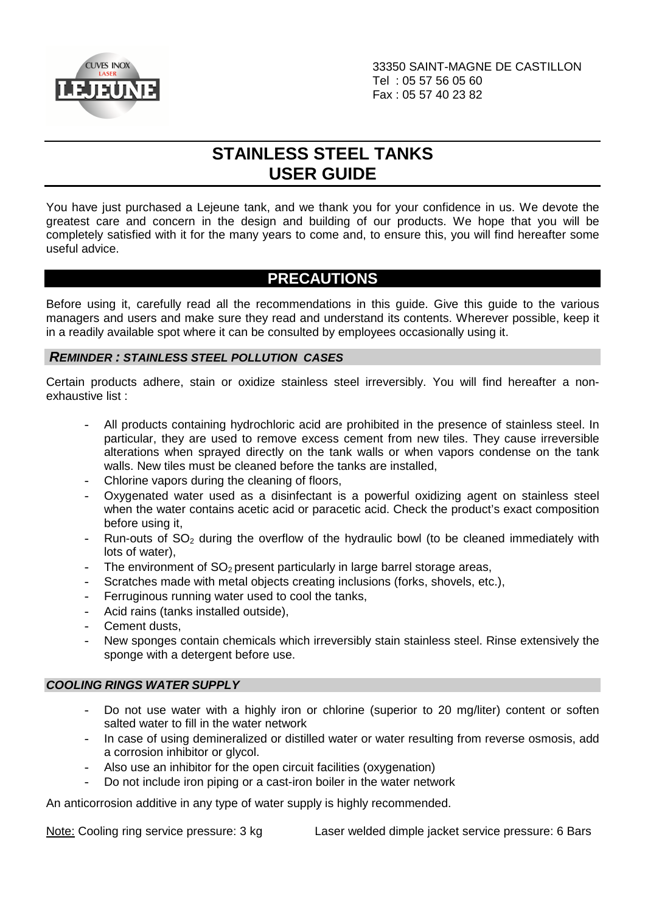

# **STAINLESS STEEL TANKS USER GUIDE**

You have just purchased a Lejeune tank, and we thank you for your confidence in us. We devote the greatest care and concern in the design and building of our products. We hope that you will be completely satisfied with it for the many years to come and, to ensure this, you will find hereafter some useful advice.

## **PRECAUTIONS**

Before using it, carefully read all the recommendations in this guide. Give this guide to the various managers and users and make sure they read and understand its contents. Wherever possible, keep it in a readily available spot where it can be consulted by employees occasionally using it.

## **REMINDER : STAINLESS STEEL POLLUTION CASES**

Certain products adhere, stain or oxidize stainless steel irreversibly. You will find hereafter a nonexhaustive list :

- All products containing hydrochloric acid are prohibited in the presence of stainless steel. In particular, they are used to remove excess cement from new tiles. They cause irreversible alterations when sprayed directly on the tank walls or when vapors condense on the tank walls. New tiles must be cleaned before the tanks are installed,
- Chlorine vapors during the cleaning of floors,
- Oxvgenated water used as a disinfectant is a powerful oxidizing agent on stainless steel when the water contains acetic acid or paracetic acid. Check the product's exact composition before using it,
- Run-outs of  $SO<sub>2</sub>$  during the overflow of the hydraulic bowl (to be cleaned immediately with lots of water),
- The environment of  $SO<sub>2</sub>$  present particularly in large barrel storage areas,
- Scratches made with metal objects creating inclusions (forks, shovels, etc.),
- Ferruginous running water used to cool the tanks,
- Acid rains (tanks installed outside),
- Cement dusts.
- New sponges contain chemicals which irreversibly stain stainless steel. Rinse extensively the sponge with a detergent before use.

## **COOLING RINGS WATER SUPPLY**

- Do not use water with a highly iron or chlorine (superior to 20 mg/liter) content or soften salted water to fill in the water network
- In case of using demineralized or distilled water or water resulting from reverse osmosis, add a corrosion inhibitor or glycol.
- Also use an inhibitor for the open circuit facilities (oxygenation)
- Do not include iron piping or a cast-iron boiler in the water network

An anticorrosion additive in any type of water supply is highly recommended.

Note: Cooling ring service pressure: 3 kg Laser welded dimple jacket service pressure: 6 Bars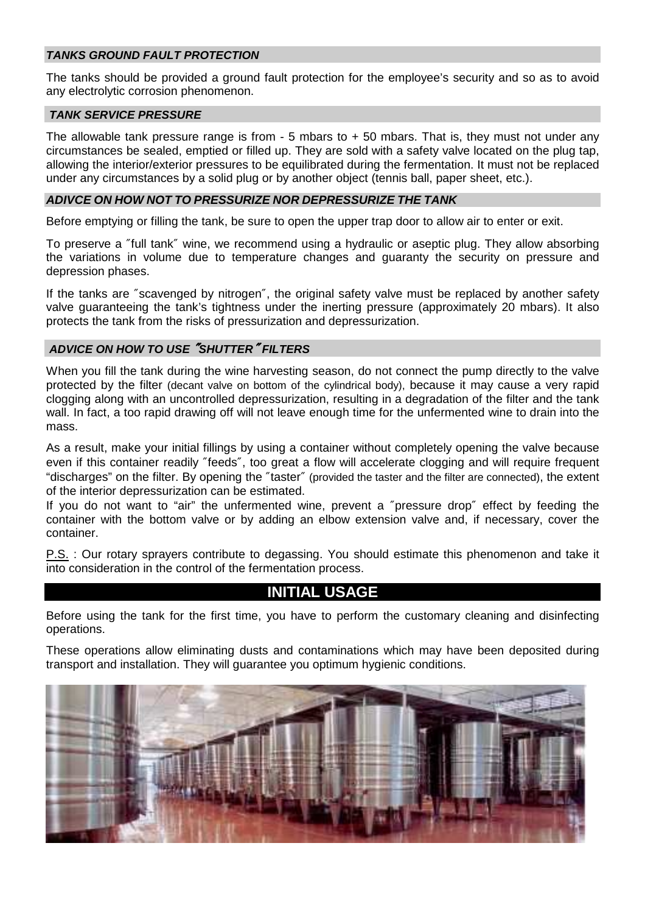## **TANKS GROUND FAULT PROTECTION**

The tanks should be provided a ground fault protection for the employee's security and so as to avoid any electrolytic corrosion phenomenon.

#### **TANK SERVICE PRESSURE**

The allowable tank pressure range is from  $-5$  mbars to  $+50$  mbars. That is, they must not under any circumstances be sealed, emptied or filled up. They are sold with a safety valve located on the plug tap, allowing the interior/exterior pressures to be equilibrated during the fermentation. It must not be replaced under any circumstances by a solid plug or by another object (tennis ball, paper sheet, etc.).

#### **ADIVCE ON HOW NOT TO PRESSURIZE NOR DEPRESSURIZE THE TANK**

Before emptying or filling the tank, be sure to open the upper trap door to allow air to enter or exit.

To preserve a ″full tank″ wine, we recommend using a hydraulic or aseptic plug. They allow absorbing the variations in volume due to temperature changes and guaranty the security on pressure and depression phases.

If the tanks are ″scavenged by nitrogen″, the original safety valve must be replaced by another safety valve guaranteeing the tank's tightness under the inerting pressure (approximately 20 mbars). It also protects the tank from the risks of pressurization and depressurization.

### **ADVICE ON HOW TO USE** ″**SHUTTER**″ **FILTERS**

When you fill the tank during the wine harvesting season, do not connect the pump directly to the valve protected by the filter (decant valve on bottom of the cylindrical body), because it may cause a very rapid clogging along with an uncontrolled depressurization, resulting in a degradation of the filter and the tank wall. In fact, a too rapid drawing off will not leave enough time for the unfermented wine to drain into the mass.

As a result, make your initial fillings by using a container without completely opening the valve because even if this container readily ″feeds″, too great a flow will accelerate clogging and will require frequent "discharges" on the filter. By opening the ″taster″ (provided the taster and the filter are connected), the extent of the interior depressurization can be estimated.

If you do not want to "air" the unfermented wine, prevent a ″pressure drop″ effect by feeding the container with the bottom valve or by adding an elbow extension valve and, if necessary, cover the container.

P.S. : Our rotary sprayers contribute to degassing. You should estimate this phenomenon and take it into consideration in the control of the fermentation process.

## **INITIAL USAGE**

Before using the tank for the first time, you have to perform the customary cleaning and disinfecting operations.

These operations allow eliminating dusts and contaminations which may have been deposited during transport and installation. They will guarantee you optimum hygienic conditions.

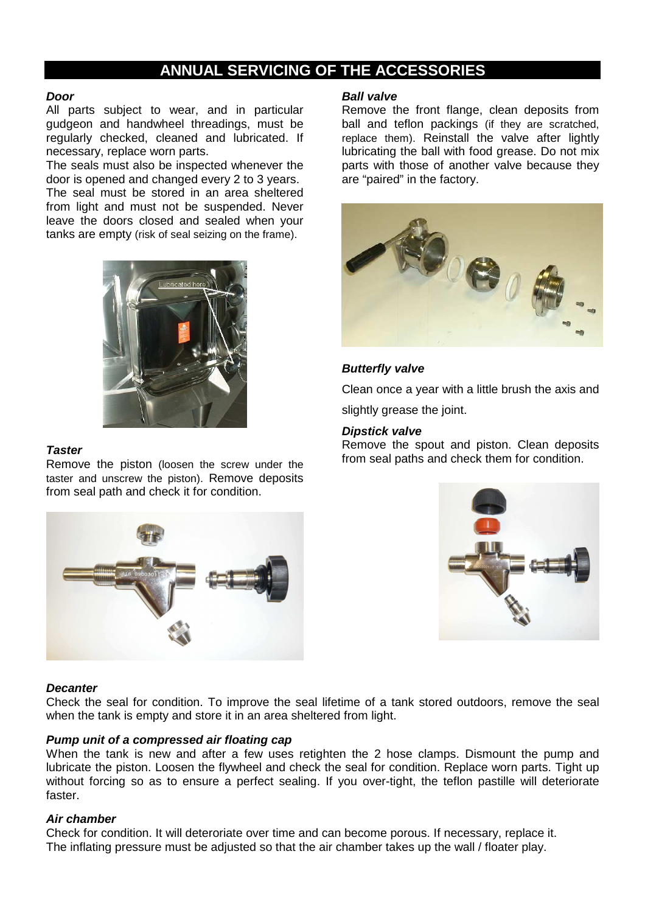## **ANNUAL SERVICING OF THE ACCESSORIES**

#### **Door**

All parts subject to wear, and in particular gudgeon and handwheel threadings, must be regularly checked, cleaned and lubricated. If necessary, replace worn parts.

The seals must also be inspected whenever the door is opened and changed every 2 to 3 years. The seal must be stored in an area sheltered from light and must not be suspended. Never leave the doors closed and sealed when your tanks are empty (risk of seal seizing on the frame).



### **Taster**

Remove the piston (loosen the screw under the taster and unscrew the piston). Remove deposits from seal path and check it for condition.

#### **Ball valve**

Remove the front flange, clean deposits from ball and teflon packings (if they are scratched, replace them). Reinstall the valve after lightly lubricating the ball with food grease. Do not mix parts with those of another valve because they are "paired" in the factory.



## **Butterfly valve**

Clean once a year with a little brush the axis and

slightly grease the joint.

### **Dipstick valve**

Remove the spout and piston. Clean deposits from seal paths and check them for condition.





#### **Decanter**

Check the seal for condition. To improve the seal lifetime of a tank stored outdoors, remove the seal when the tank is empty and store it in an area sheltered from light.

#### **Pump unit of a compressed air floating cap**

When the tank is new and after a few uses retighten the 2 hose clamps. Dismount the pump and lubricate the piston. Loosen the flywheel and check the seal for condition. Replace worn parts. Tight up without forcing so as to ensure a perfect sealing. If you over-tight, the teflon pastille will deteriorate faster.

#### **Air chamber**

Check for condition. It will deteroriate over time and can become porous. If necessary, replace it. The inflating pressure must be adjusted so that the air chamber takes up the wall / floater play.